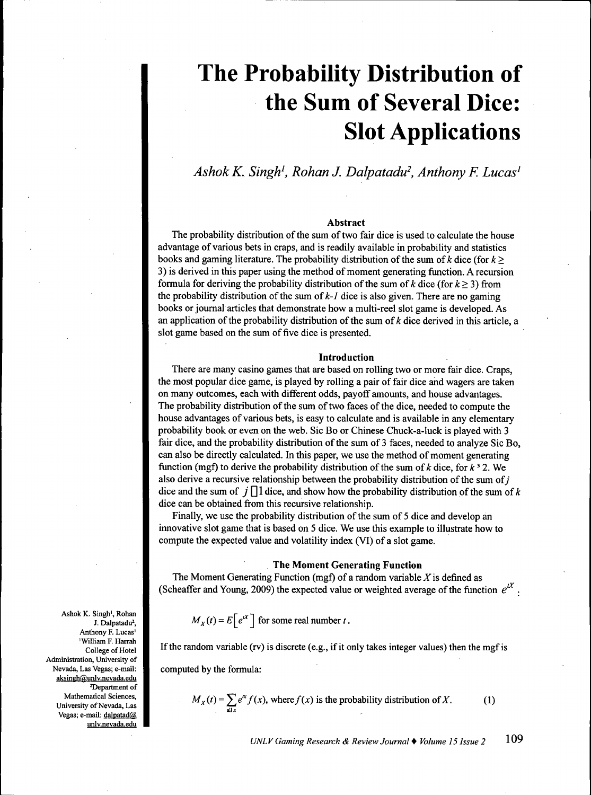# **The Probability Distribution of the Sum of Several Dice: Slot Applications**

*Ashok K. Singh\ Rohan J. Dalpatadu\ Anthony F. Lucas'*

#### **Abstract**

The probability distribution of the sum of two fair dice is used to calculate the house advantage of various bets in craps, and is readily available in probability and statistics books and gaming literature. The probability distribution of the sum of k dice (for  $k \geq$ *3)* is derived in this paper using the method of moment generating function. A recursion formula for deriving the probability distribution of the sum of k dice (for  $k \ge 3$ ) from the probability distribution of the sum of  $k-1$  dice is also given. There are no gaming books or journal articles that demonstrate how a multi-reel slot game is developed. As an application of the probability distribution of the sum of  $k$  dice derived in this article, a slot game based on the sum of five dice is presented.

#### **Introduction**

There are many casino games that are based on rolling two or more fair dice. Craps, the most popular dice game, is played by rolling a pair of fair dice and wagers are taken on many outcomes, each with different odds, payoff amounts, and house advantages. The probability distribution of the sum of two faces of the dice, needed to compute the house advantages of various bets, is easy to calculate and is available in any elementary probability book or even on the web. Sic Bo or Chinese Chuck-a-luck is played with 3 fair dice, and the probability distribution of the sum of 3 faces, needed to analyze Sic Bo, can also be directly calculated. In this paper, we use the method of moment generating function (mgf) to derive the probability distribution of the sum of  $k$  dice, for  $k^3$  2. We also derive a recursive relationship between the probability distribution of the sum of  $i$ dice and the sum of  $\mathcal{J} \cap \mathcal{J}$  dice, and show how the probability distribution of the sum of k dice can be obtained from this recursive relationship.

Finally, we use the probability distribution of the sum of 5 dice and develop an innovative slot game that is based on 5 dice. We use this example to illusfrate how to compute the expected value and volatility index (VI) of a slot game.

#### **The Moment Generating Function**

The Moment Generating Function (mgf) of a random variable  $X$  is defined as (Scheaffer and Young, 2009) the expected value or weighted average of the function  $e^{tX}$ .

$$
M_X(t) = E\left[e^{tX}\right]
$$
 for some real number t.

If the random variable (rv) is discrete (e.g., if it only takes integer values) then the mgf is

computed by the formula:

$$
M_X(t) = \sum e^{tx} f(x)
$$
, where  $f(x)$  is the probability distribution of X. (1)

*UNLV Gaming Research & Review Journal* • *Volume 15 Issue 2* 109

Ashok K. Singh', Rohan J. Dalpatadu<sup>2</sup>, Anthony F. Lucas' 'William F. Harrah College of Hotel Administration, University of Nevada, Las Vegas; e-mail: aksingh@unlv.nevada.edu <sup>2</sup>Department of Mathematical Sciences, University of Nevada, Las Vegas; e-mail: dalpatad@ unlv.nevada.edu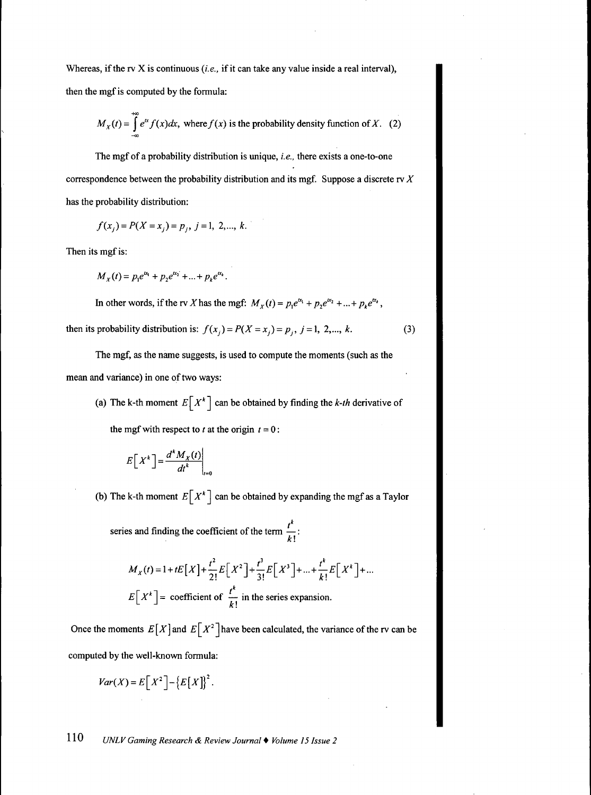Whereas, if the rv X is continuous *(i.e.,* if it can take any value inside a real interval), then the mgf is computed by the formula:

$$
M_X(t) = \int_{-\infty}^{+\infty} e^{tx} f(x) dx
$$
, where  $f(x)$  is the probability density function of X. (2)

The mgf of a probability distribution is unique, *i.e.,* there exists a one-to-one correspondence between the probability distribution and its mgf. Suppose a discrete rv *X* has the probability distribution:

$$
f(x_j) = P(X = x_j) = p_j, \ j = 1, 2, \dots, k.
$$

Then its mgf is:

$$
M_X(t) = p_1 e^{tx_1} + p_2 e^{tx_2} + \dots + p_k e^{tx_k}.
$$

In other words, if the rv X has the mgf:  $M_X(t) = p_1 e^{tx_1} + p_2 e^{tx_2} + ... + p_k e^{tx_k}$ ,

then its probability distribution is:  $f(x_j) = P(X = x_j) = p_j$ ,  $j = 1, 2, ..., k$ . (3)

The mgf, as the name suggests, is used to compute the moments (such as the mean and variance) in one of two ways:

(a) The k-th moment  $E[X^k]$  can be obtained by finding the *k-th* derivative of the mgf with respect to *t* at the origin  $t = 0$ :

$$
E[X^k] = \frac{d^k M_X(t)}{dt^k}\bigg|_{t=0}
$$

(b) The k-th moment  $E[X^k]$  can be obtained by expanding the mgf as a Taylor

series and finding the coefficient of the term  $\frac{1}{x}$ :  $\kappa$  !

$$
M_X(t) = 1 + tE[X] + \frac{t^2}{2!}E[X^2] + \frac{t^3}{3!}E[X^3] + ... + \frac{t^k}{k!}E[X^k] + ...
$$
  

$$
E[X^k] = \text{coefficient of } \frac{t^k}{k!} \text{ in the series expansion.}
$$

Once the moments  $E[X]$  and  $E[X^2]$  have been calculated, the variance of the rv can be computed by the well-known formula:

$$
Var(X) = E[X^2] - \{E[X]\}^2.
$$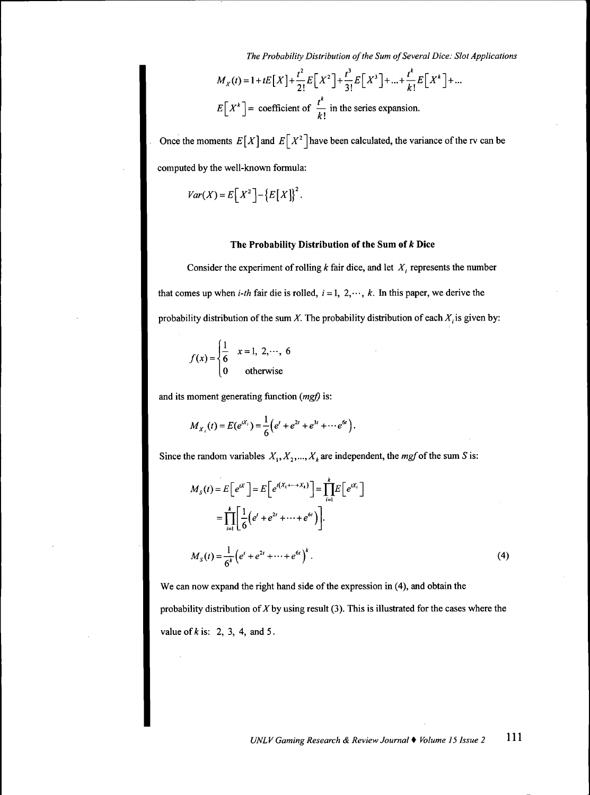*The Probability Distribution of the Sum of Several Dice: Slot Applications*

$$
M_X(t) = 1 + tE[X] + \frac{t^2}{2!}E[X^2] + \frac{t^3}{3!}E[X^3] + ... + \frac{t^k}{k!}E[X^k] + ...
$$
  

$$
E[X^k] = \text{coefficient of } \frac{t^k}{k!} \text{ in the series expansion.}
$$

Once the moments  $E[X]$  and  $E[X^2]$  have been calculated, the variance of the rv can be computed by the well-known formula:

$$
Var(X) = E[X^2] - \{E[X]\}^2.
$$

### **The Probability Distribution of the Sum of** *k* **Dice**

Consider the experiment of rolling *k* fair dice, and let *X¡* represents the number that comes up when *i-th* fair die is rolled,  $i = 1, 2, \dots, k$ . In this paper, we derive the probability distribution of the sum X. The probability distribution of each  $X_i$  is given by:

$$
f(x) = \begin{cases} \frac{1}{6} & x = 1, 2, \dots, 6 \\ 0 & \text{otherwise} \end{cases}
$$

and its moment generating function *(mgf)* is:

$$
M_{X_i}(t) = E(e^{tX_i}) = \frac{1}{6} \Big( e^t + e^{2t} + e^{3t} + \cdots + e^{6t} \Big).
$$

Since the random variables  $X_1, X_2, ..., X_k$  are independent, the *mgf* of the sum *S* is:

$$
M_{S}(t) = E\left[e^{tX}\right] = E\left[e^{t(X_{1} + \dots + X_{k})}\right] = \prod_{i=1}^{k} E\left[e^{tX_{i}}\right]
$$

$$
= \prod_{i=1}^{k} \left[\frac{1}{6}\left(e^{t} + e^{2t} + \dots + e^{6t}\right)\right].
$$

$$
M_{S}(t) = \frac{1}{6^{k}}\left(e^{t} + e^{2t} + \dots + e^{6t}\right)^{k}.
$$
(4)

We can now expand the right hand side of the expression in (4), and obtain the probability distribution of  $X$  by using result (3). This is illustrated for the cases where the value of  $k$  is: 2, 3, 4, and 5.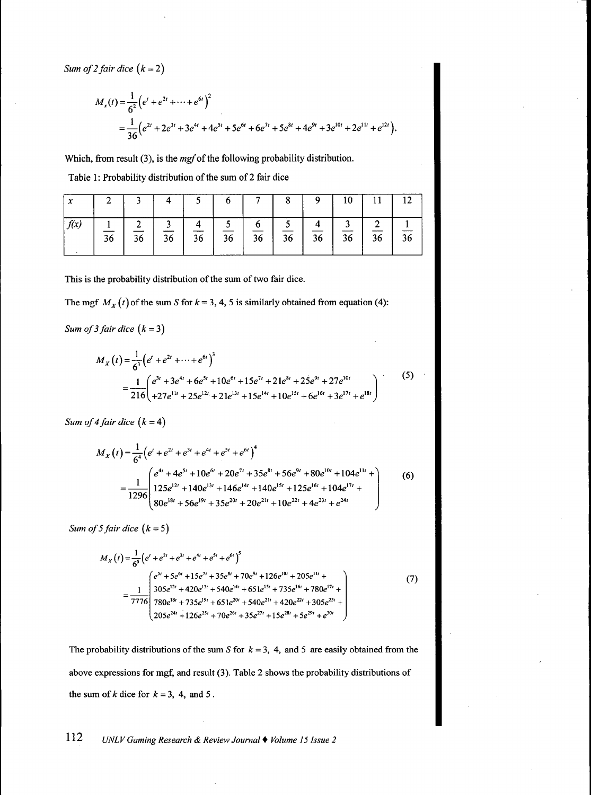*Sum of 2 fair dice*  $(k = 2)$ 

$$
M_x(t) = \frac{1}{6^2} \left( e^t + e^{2t} + \dots + e^{6t} \right)^2
$$
  
= 
$$
\frac{1}{36} \left( e^{2t} + 2e^{3t} + 3e^{4t} + 4e^{5t} + 5e^{6t} + 6e^{7t} + 5e^{8t} + 4e^{9t} + 3e^{10t} + 2e^{11t} + e^{12t} \right).
$$

Which, from result  $(3)$ , is the  $mgf$  of the following probability distribution.

| Table 1: Probability distribution of the sum of 2 fair dice |
|-------------------------------------------------------------|
|-------------------------------------------------------------|

| ∼    |    |         |    |    |    |                 |    |                 | 10. |    | 12 |
|------|----|---------|----|----|----|-----------------|----|-----------------|-----|----|----|
| f(x) | 36 | ◠<br>36 | 36 | 36 | 36 | $\overline{36}$ | 36 | $\overline{36}$ | 36  | 36 | 36 |

This is the probability distribution of the sum of two fair dice.

The mgf  $M_X(t)$  of the sum *S* for  $k = 3, 4, 5$  is similarly obtained from equation (4):

*Sum of 3 fair dice (k =* 3)

$$
M_X(t) = \frac{1}{6^3} \left( e^t + e^{2t} + \dots + e^{6t} \right)^3
$$
  
= 
$$
\frac{1}{216} \left( e^{3t} + 3e^{4t} + 6e^{5t} + 10e^{6t} + 15e^{7t} + 21e^{8t} + 25e^{9t} + 27e^{10t} \right)
$$
  
= 
$$
\frac{1}{216} \left( e^{3t} + 3e^{4t} + 6e^{5t} + 10e^{6t} + 15e^{7t} + 21e^{8t} + 10e^{15t} + 6e^{16t} + 3e^{17t} + e^{18t} \right)
$$
 (5)

*Sum of 4 fair dice*  $(k = 4)$ 

$$
M_X(t) = \frac{1}{6^4} \left( e^t + e^{2t} + e^{3t} + e^{4t} + e^{5t} + e^{6t} \right)^4
$$
  
= 
$$
\frac{1}{1296} \left( \frac{e^{4t} + 4e^{5t} + 10e^{6t} + 20e^{7t} + 35e^{8t} + 56e^{9t} + 80e^{10t} + 104e^{11t} + 125e^{12t} + 140e^{13t} + 146e^{14t} + 140e^{15t} + 125e^{16t} + 104e^{17t} + 80e^{18t} + 56e^{19t} + 35e^{20t} + 20e^{21t} + 10e^{22t} + 4e^{23t} + e^{24t} \right)
$$
(6)

*Sum of 5 fair dice*  $(k = 5)$ 

$$
M_{X}(t) = \frac{1}{6^{5}} \left( e^{t} + e^{2t} + e^{3t} + e^{4t} + e^{5t} + e^{6t} \right)^{5}
$$
\n
$$
= \frac{1}{7776} \begin{pmatrix} e^{5t} + 5e^{6t} + 15e^{7t} + 35e^{8t} + 70e^{9t} + 126e^{10t} + 205e^{11t} + 305e^{12t} + 420e^{13t} + 540e^{14t} + 651e^{15t} + 735e^{16t} + 780e^{17t} + 7376e^{18t} + 735e^{18t} + 651e^{20t} + 540e^{21t} + 420e^{22t} + 305e^{23t} + 205e^{24t} + 126e^{25t} + 70e^{25t} + 35e^{27t} + 15e^{28t} + 5e^{29t} + e^{30t} \end{pmatrix}
$$
\n(7)

The probability distributions of the sum S for  $k = 3$ , 4, and 5 are easily obtained from the above expressions for mgf, and result (3). Table 2 shows the probability distributions of the sum of  $k$  dice for  $k = 3$ , 4, and 5.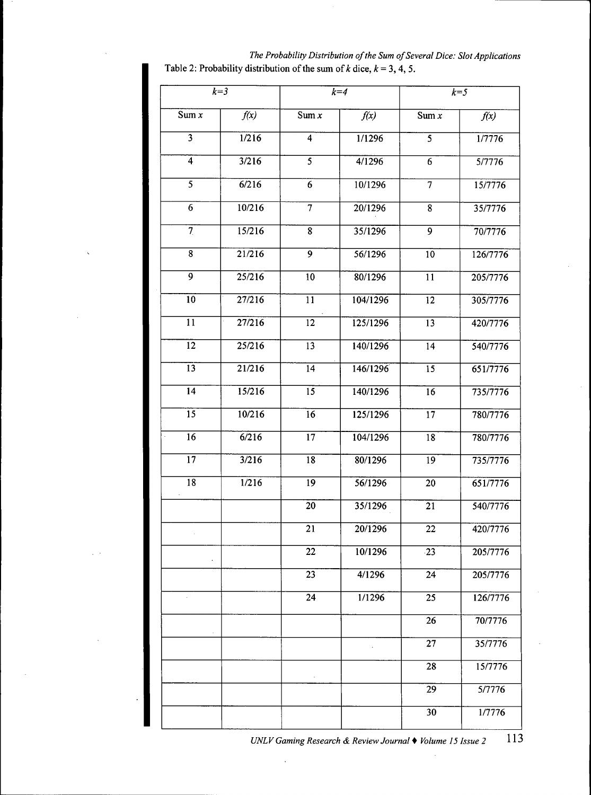|                           | $k=3$          |                         | $k=4$    | $k=5$                   |          |  |
|---------------------------|----------------|-------------------------|----------|-------------------------|----------|--|
| Sum x                     | f(x)           | Sum $x$                 | f(x)     | Sum $\overline{x}$      | f(x)     |  |
| $\overline{\overline{3}}$ | 1/216          | $\overline{\mathbf{4}}$ | 1/1296   | $\overline{\mathbf{5}}$ | 1/7776   |  |
| $\overline{4}$            | 3/216          |                         | 4/1296   | $\overline{6}$          | 5/7776   |  |
| $\overline{5}$            | $\sqrt{6/216}$ | $\overline{6}$          | 10/1296  | $\overline{7}$          | 15/7776  |  |
| $\overline{6}$            | 10/216         | $\overline{7}$          | 20/1296  | $\overline{8}$          | 35/7776  |  |
| $\overline{7}$            | 15/216         | $\overline{8}$          | 35/1296  | $\overline{9}$          | 70/7776  |  |
| $\overline{8}$            | 21/216         | $\overline{9}$          | 56/1296  | $\overline{10}$         | 126/7776 |  |
| $\overline{9}$            | 25/216         | $\overline{10}$         | 80/1296  | $\overline{11}$         | 205/7776 |  |
| $\overline{10}$           | 27/216         | $\overline{11}$         | 104/1296 | $\overline{12}$         | 305/7776 |  |
| $\overline{11}$           | 27/216         | $\overline{12}$         | 125/1296 | $\overline{13}$         | 420/7776 |  |
| $\overline{12}$           | 25/216         | $\overline{13}$         | 140/1296 | $\overline{14}$         | 540/7776 |  |
| $\overline{13}$           | 21/216         | $\overline{14}$         | 146/1296 | $\overline{15}$         | 651/7776 |  |
| $\overline{14}$           | 15/216         | 15                      | 140/1296 | $\overline{16}$         | 735/7776 |  |
| $\overline{15}$           | 10/216         | $\overline{16}$         | 125/1296 | $\overline{17}$         | 780/7776 |  |
| $\overline{16}$           | 6/216          | 17                      | 104/1296 | $\overline{18}$         | 780/7776 |  |
| $\overline{17}$           | 3/216          | $\overline{18}$         | 80/1296  | $\overline{19}$         | 735/7776 |  |
| $\overline{18}$           | 1/216          | $\overline{19}$         | 56/1296  | 20                      | 651/7776 |  |
|                           |                | $\overline{20}$         | 35/1296  | $\overline{21}$         | 540/7776 |  |
|                           |                | $\overline{21}$         | 20/1296  | $\overline{22}$         | 420/7776 |  |
|                           |                | 22                      | 10/1296  | $-23$                   | 205/7776 |  |
|                           |                | 23                      | 4/1296   | 24                      | 205/7776 |  |
|                           |                | 24                      | 1/1296   | 25                      | 126/7776 |  |
|                           |                |                         |          | 26                      | 70/7776  |  |
|                           |                |                         |          | 27                      | 35/7776  |  |
|                           |                |                         |          | 28                      | 15/7776  |  |
|                           |                |                         |          | 29                      | 5/7776   |  |
|                           |                |                         |          | 30                      | 1/7776   |  |

*The Probability Distribution of the Sum of Several Dice: Slot Applications* Table 2: Probability distribution of the sum of  $k$  dice,  $k = 3, 4, 5$ .

113 *UNLV Gaming Research & Review Journal* • *Volume 15 Issue 2*

 $\bar{\omega}$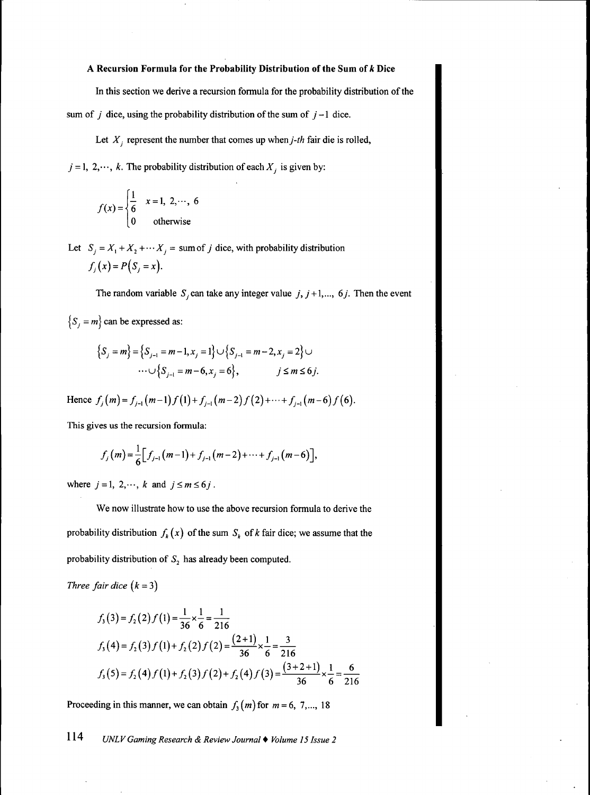## **A Recursion Formula for the Probability Distribution of the Sum of** *k* **Dice**

In this section we derive a recursion formula for the probability distribution of the sum of  $j$  dice, using the probability distribution of the sum of  $j-1$  dice.

Let  $X_j$  represent the number that comes up when  $j$ -th fair die is rolled,

 $j = 1, 2, \dots, k$ . The probability distribution of each  $X_j$  is given by:

$$
f(x) = \begin{cases} \frac{1}{6} & x = 1, 2, \dots, 6 \\ 0 & \text{otherwise} \end{cases}
$$

Let  $S_i = X_1 + X_2 + \cdots + X_j =$  sum of *J* dice, with probability distribution  $f_i(x) = P(S_i = x)$ .

The random variable  $S_i$  can take any integer value  $j, j+1, \ldots, 6j$ . Then the event

 $\{S_j = m\}$  can be expressed as:

$$
\begin{aligned} \left\{ S_j = m \right\} &= \left\{ S_{j-1} = m-1, x_j = 1 \right\} \cup \left\{ S_{j-1} = m-2, x_j = 2 \right\} \cup \\ &\cdots \cup \left\{ S_{j-1} = m-6, x_j = 6 \right\}, \qquad j \le m \le 6j. \end{aligned}
$$

Hence  $f_i(m) = f_{i-1}(m-1)f(1) + f_{i-1}(m-2)f(2) + \cdots + f_{i-1}(m-6)f(6)$ .

This gives us the recursion formula:

$$
f_j(m) = \frac{1}{6} \Big[ f_{j-1}(m-1) + f_{j-1}(m-2) + \cdots + f_{j-1}(m-6) \Big],
$$

where  $j = 1, 2, \dots, k$  and  $j \le m \le 6j$ .

We now illustrate how to use the above recursion formula to derive the probability distribution  $f_k(x)$  of the sum  $S_k$  of k fair dice; we assume that the probability distribution of *S^* has already been computed.

*Three fair dice*  $(k = 3)$ 

$$
f_3(3) = f_2(2) f(1) = \frac{1}{36} \times \frac{1}{6} = \frac{1}{216}
$$
  

$$
f_3(4) = f_2(3) f(1) + f_2(2) f(2) = \frac{(2+1)}{36} \times \frac{1}{6} = \frac{3}{216}
$$
  

$$
f_3(5) = f_2(4) f(1) + f_2(3) f(2) + f_2(4) f(3) = \frac{(3+2+1)}{36} \times \frac{1}{6} = \frac{6}{216}
$$

Proceeding in this manner, we can obtain  $f_3(m)$  for  $m = 6, 7, \dots, 18$ 

**11'+** *UNLV Gaming Research & Review Journal* • *Volume 15 Issue 2*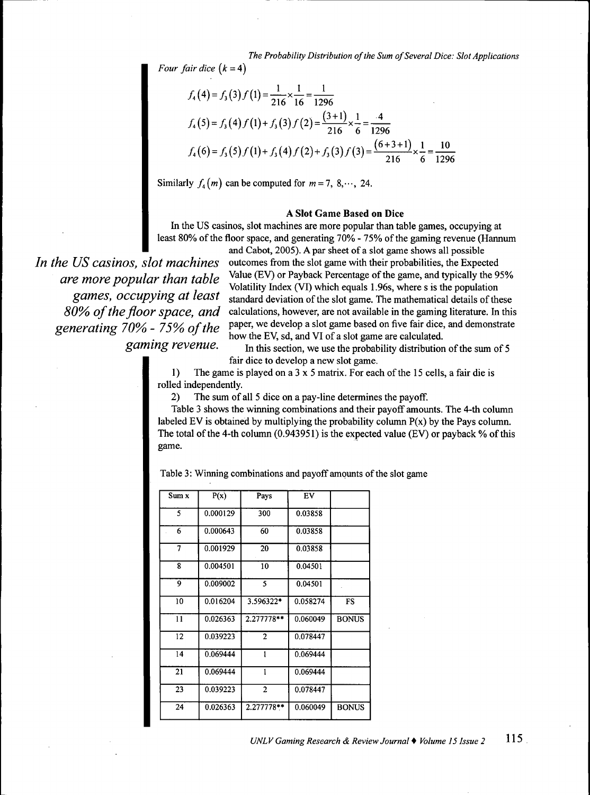*The Probability Distribution of the Sum of Several Dice: Slot Applications*

*Four fair dice*  $(k = 4)$ 

$$
f_4(4) = f_3(3) f(1) = \frac{1}{216} \times \frac{1}{16} = \frac{1}{1296}
$$
  

$$
f_4(5) = f_3(4) f(1) + f_3(3) f(2) = \frac{(3+1)}{216} \times \frac{1}{6} = \frac{4}{1296}
$$
  

$$
f_4(6) = f_3(5) f(1) + f_3(4) f(2) + f_3(3) f(3) = \frac{(6+3+1)}{216} \times \frac{1}{6} = \frac{10}{1296}
$$

Similarly  $f_4(m)$  can be computed for  $m = 7, 8, \dots, 24$ .

## A Slot Game Based on Dice

In the US casinos, slot machines are more popular than table games, occupying at least 80% of the floor space, and generating 70% - 75% of the gaming revenue (Hannum

*are more popular than table* 

and Cabot, 2005). A par sheet of a slot game shows all possible *In the US casinos, slot machines* outcomes from the slot game with their probabilities, the Expected are move popular than table. Value (EV) or Payback Percentage of the game, and typically the 95% Volatility Index (VI) which equals 1.96s, where s is the population *games, occupying at least* standard deviation of the slot game. The mathematical details of these 80% of the floor space, and calculations, however, are not available in the gaming literature. In this generating 70% - 75% of the paper, we develop a slot game based on five fair dice, and demonstrate *grear-1379 of the* how the EV, sd, and VI of a slot game are calculated.<br>*gaming revenue*. In this section we use the probability distribution

In this section, we use the probability distribution of the sum of 5 fair dice to develop a new slot game.

 $\mathbf{1}$ The game is played on a  $3 \times 5$  matrix. For each of the 15 cells, a fair die is rolled independently.

2) The sum of all 5 dice on a pay-line determines the payoff.

Table 3 shows the winning combinations and their payoff amounts. The 4-th column labeled EV is obtained by multiplying the probability column  $P(x)$  by the Pays column. The total of the 4-th column  $(0.943951)$  is the expected value (EV) or payback % of this  $\mathsf{pame}.$ game.

Table 3: Winning combinations and payoff amounts of the slot game

| Sum x           | P(x)     | Pays           | EV       |              |
|-----------------|----------|----------------|----------|--------------|
| 5               | 0.000129 | 300            | 0.03858  |              |
| 6               | 0.000643 | 60             | 0.03858  |              |
| 7               | 0.001929 | 20             | 0.03858  |              |
| 8               | 0.004501 | 10             | 0.04501  |              |
| 9               | 0.009002 | 5              | 0.04501  |              |
| 10              | 0.016204 | 3.596322*      | 0.058274 | FS           |
| $\overline{11}$ | 0.026363 | 2.277778**     | 0.060049 | <b>BONUS</b> |
| 12              | 0.039223 | $\overline{2}$ | 0.078447 |              |
| 14              | 0.069444 | 1              | 0.069444 |              |
| 21              | 0.069444 | 1              | 0.069444 |              |
| 23              | 0.039223 | $\mathbf{2}$   | 0.078447 |              |
| 24              | 0.026363 | 2.277778**     | 0.060049 | <b>BONUS</b> |
|                 |          |                |          |              |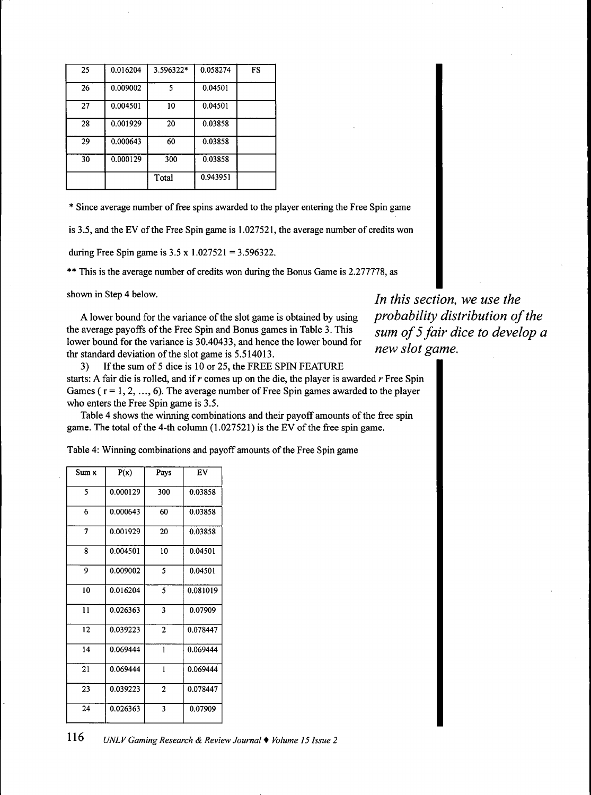| 25 | 0.016204 | 3.596322* | 0.058274 | FS |
|----|----------|-----------|----------|----|
| 26 | 0.009002 | 5         | 0.04501  |    |
| 27 | 0.004501 | 10        | 0.04501  |    |
| 28 | 0.001929 | 20        | 0.03858  |    |
| 29 | 0.000643 | 60        | 0.03858  |    |
| 30 | 0.000129 | 300       | 0.03858  |    |
|    |          | Total     | 0.943951 |    |

\* Since average number of free spins awarded to the player entering the Free Spin game

is 3.5, and the EV of the Free Spin game is 1.027521, the average number of credits won

during Free Spin game is  $3.5 \times 1.027521 = 3.596322$ .

\*\* This is the average number of credits won during the Bonus Game is 2.277778, as

A lower bound for the variance of the slot game is obtained by using *probability distribution of the* the average payoffs of the Free Spin and Bonus games in Table 3. This sum of 5 fair dice to develop a lower bound for the variance is 30.40433, and hence the lower bound for  $new$  slot game. thr standard deviation of the slot game is  $5.514013$ .<br>3) If the sum of 5 dice is 10 or 25, the FREE

*3)* If the sum of 5 dice is 10 or 25, the FREE SPIN FEATURE starts: A fair die is rolled, and if r comes up on the die, the player is awarded *r* Free Spin Games ( $r = 1, 2, ..., 6$ ). The average number of Free Spin games awarded to the player who enters the Free Spin game is 3.5.

Table 4 shows the winning combinations and their payoff amounts of the free spin game. The total of the 4-th column  $(1.027521)$  is the EV of the free spin game.

Table 4: Winning combinations and payoff amounts of the Free Spin game

| Sum x | P(x)     | Pays           | EV       |
|-------|----------|----------------|----------|
|       |          |                |          |
| 5     | 0.000129 | 300            | 0.03858  |
| 6     | 0.000643 | 60             | 0.03858  |
| 7     | 0.001929 | 20             | 0.03858  |
| 8     | 0.004501 | 10             | 0.04501  |
| 9     | 0.009002 | 5              | 0.04501  |
| 10    | 0.016204 | 5              | 0.081019 |
| 11    | 0.026363 | 3              | 0.07909  |
| 12    | 0.039223 | $\overline{2}$ | 0.078447 |
| 14    | 0.069444 | $\mathbf{I}$   | 0.069444 |
| 21    | 0.069444 | 1              | 0.069444 |
| 23    | 0.039223 | 2              | 0.078447 |
| 24    | 0.026363 | 3              | 0.07909  |

shown in Step 4 below.<br>*In this section, we use the*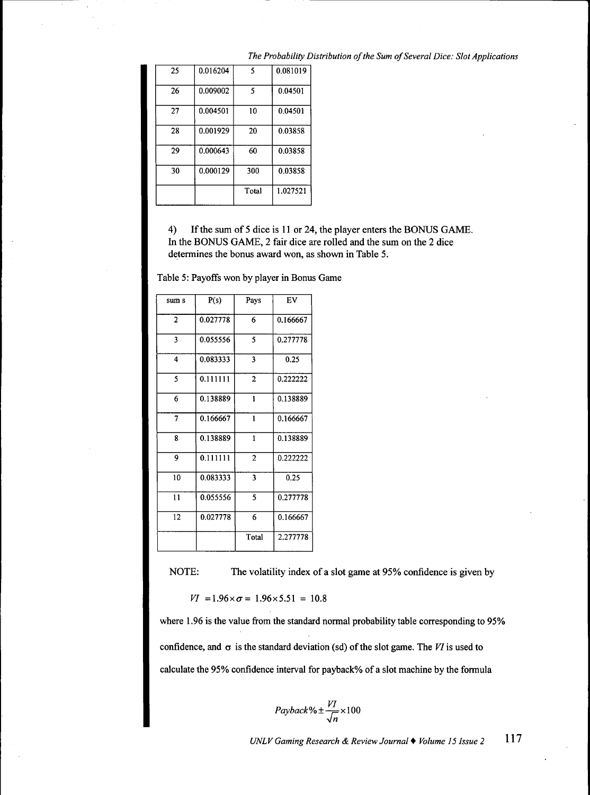| 25 | 0.016204 | 5     | 0.081019 |
|----|----------|-------|----------|
| 26 | 0.009002 | 5     | 0.04501  |
| 27 | 0.004501 | 10    | 0.04501  |
| 28 | 0.001929 | 20    | 0.03858  |
| 29 | 0.000643 | 60    | 0.03858  |
| 30 | 0.000129 | 300   | 0.03858  |
|    |          | Total | 1.027521 |

*The Probability Distribution of the Sum of Several Dice: Slot Applications*

4) If the sum of 5 dice is 11 or 24, the player enters the BONUS GAME. In the BONUS GAME, 2 fair dice are rolled and the sum on the 2 dice determines the bonus award won, as shown in Table 5.

Table 5: Payoffs won by player in Bonus Game

| sum s                   | P(s)     | Pays           | EV       |
|-------------------------|----------|----------------|----------|
| $\overline{2}$          | 0.027778 | 6              | 0.166667 |
| 3                       | 0.055556 | 5              | 0.277778 |
| $\overline{\mathbf{4}}$ | 0.083333 | 3              | 0.25     |
| 5                       | 0.111111 | $\overline{2}$ | 0.222222 |
| 6                       | 0.138889 | $\mathbf{1}$   | 0.138889 |
| 7                       | 0.166667 | 1              | 0.166667 |
| 8                       | 0.138889 | 1              | 0.138889 |
| 9                       | 0.111111 | $\overline{2}$ | 0.222222 |
| 10                      | 0.083333 | 3              | 0.25     |
| $\overline{11}$         | 0.055556 | 5              | 0.277778 |
| 12                      | 0.027778 | 6              | 0.166667 |
|                         |          | Total          | 2.277778 |

NOTE: The volatility index of a slot game at 95% confidence is given by

$$
VI = 1.96 \times \sigma = 1.96 \times 5.51 = 10.8
$$

where 1.96 is the value from the standard normal probability table corresponding to 95% confidence, and  $\sigma$  is the standard deviation (sd) of the slot game. The VI is used to calculate the 95% confidence interval for payback% of a slot machine by the formula

$$
Payback\% \pm \frac{VI}{\sqrt{n}} \times 100
$$